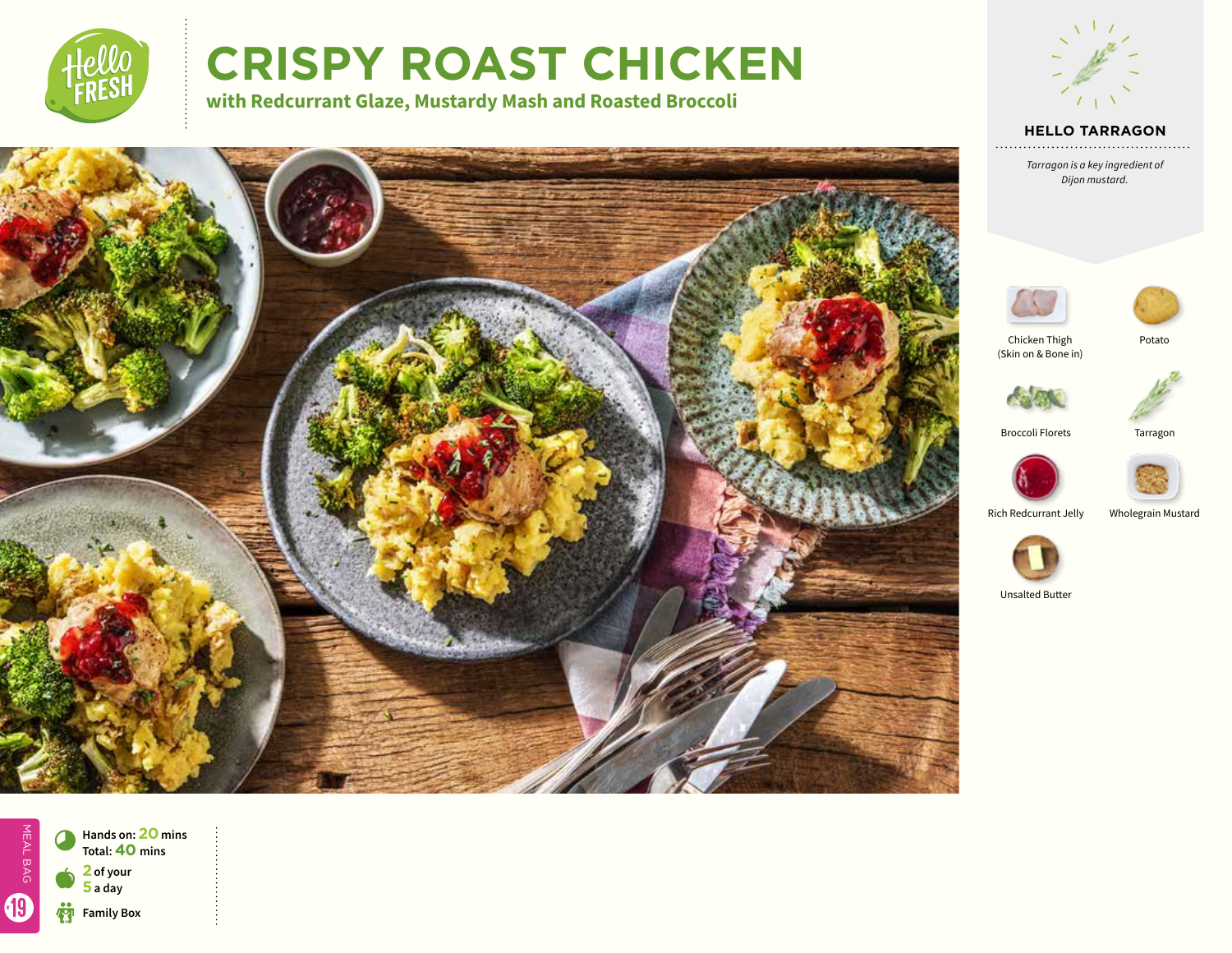

# **CRISPY ROAST CHICKEN**

**with Redcurrant Glaze, Mustardy Mash and Roasted Broccoli**



## **HELLO TARRAGON**

*Tarragon is a key ingredient of Dijon mustard.*





Chicken Thigh



(Skin on & Bone in)



Broccoli Florets Tarragon





Rich Redcurrant Jelly Wholegrain Mustard



Unsalted Butter

MEAL BAG MEAL BAG 19